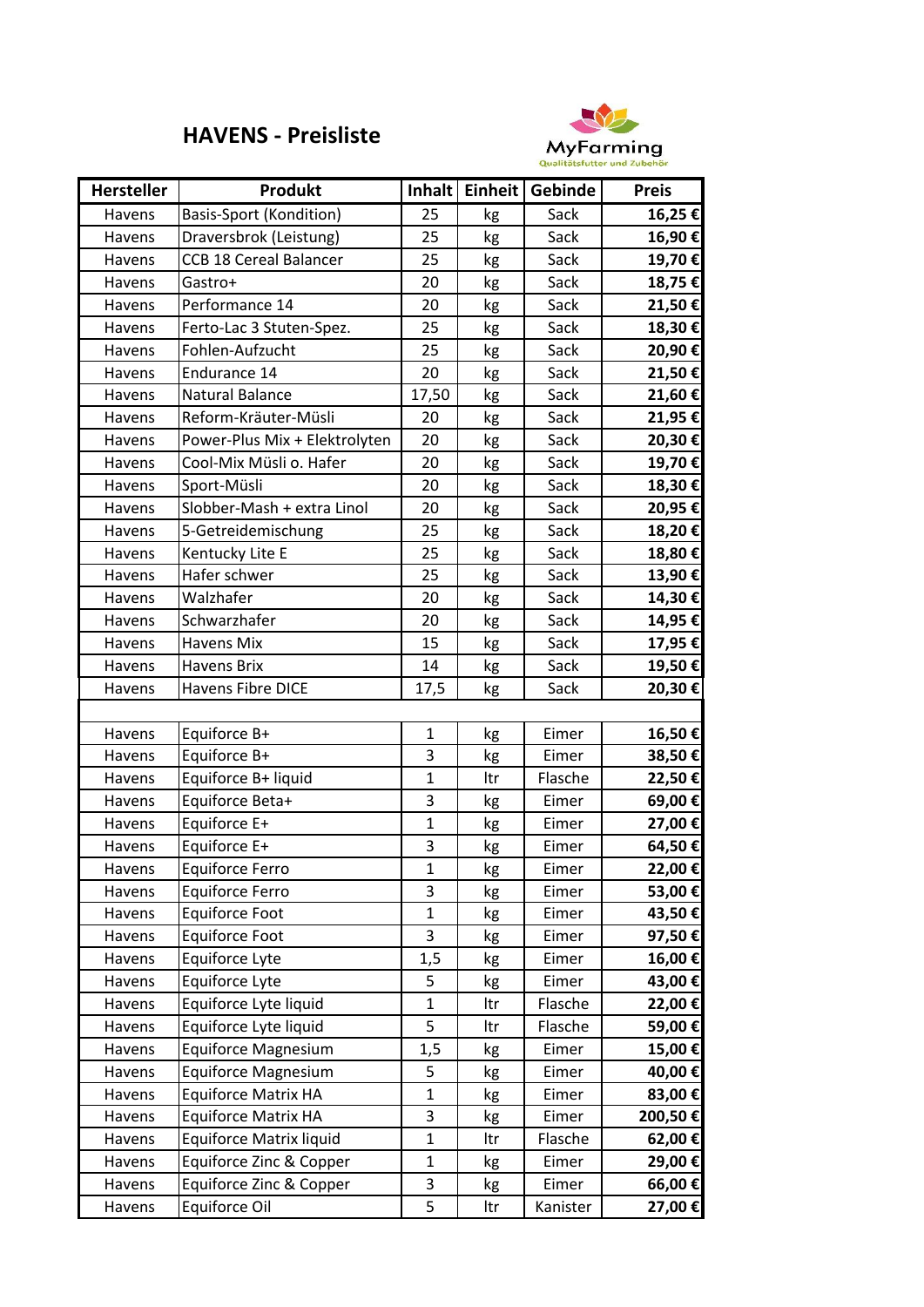## **HAVENS - Preisliste**



| <b>Hersteller</b> | Produkt                        | Inhalt       | Einheit | Gebinde  | <b>Preis</b> |
|-------------------|--------------------------------|--------------|---------|----------|--------------|
| Havens            | <b>Basis-Sport (Kondition)</b> | 25           | kg      | Sack     | 16,25€       |
| Havens            | Draversbrok (Leistung)         | 25           | kg      | Sack     | 16,90€       |
| Havens            | <b>CCB 18 Cereal Balancer</b>  | 25           | kg      | Sack     | 19,70€       |
| Havens            | Gastro+                        | 20           | kg      | Sack     | 18,75€       |
| Havens            | Performance 14                 | 20           | kg      | Sack     | 21,50€       |
| Havens            | Ferto-Lac 3 Stuten-Spez.       | 25           | kg      | Sack     | 18,30€       |
| Havens            | Fohlen-Aufzucht                | 25           | kg      | Sack     | 20,90€       |
| Havens            | Endurance 14                   | 20           | kg      | Sack     | 21,50€       |
| Havens            | Natural Balance                | 17,50        | kg      | Sack     | 21,60€       |
| Havens            | Reform-Kräuter-Müsli           | 20           | kg      | Sack     | 21,95€       |
| Havens            | Power-Plus Mix + Elektrolyten  | 20           | kg      | Sack     | 20,30€       |
| Havens            | Cool-Mix Müsli o. Hafer        | 20           | kg      | Sack     | 19,70€       |
| Havens            | Sport-Müsli                    | 20           | kg      | Sack     | 18,30€       |
| Havens            | Slobber-Mash + extra Linol     | 20           | kg      | Sack     | 20,95€       |
| Havens            | 5-Getreidemischung             | 25           | kg      | Sack     | 18,20€       |
| Havens            | Kentucky Lite E                | 25           | kg      | Sack     | 18,80€       |
| Havens            | Hafer schwer                   | 25           | kg      | Sack     | 13,90€       |
| Havens            | Walzhafer                      | 20           | kg      | Sack     | 14,30€       |
| Havens            | Schwarzhafer                   | 20           | kg      | Sack     | 14,95 €      |
| Havens            | <b>Havens Mix</b>              | 15           | kg      | Sack     | 17,95€       |
| Havens            | Havens Brix                    | 14           | kg      | Sack     | 19,50€       |
| Havens            | <b>Havens Fibre DICE</b>       | 17,5         | kg      | Sack     | 20,30€       |
|                   |                                |              |         |          |              |
| Havens            | Equiforce B+                   | $\mathbf{1}$ | kg      | Eimer    | 16,50€       |
| Havens            | Equiforce B+                   | 3            | kg      | Eimer    | 38,50€       |
| Havens            | Equiforce B+ liquid            | $\mathbf{1}$ | ltr     | Flasche  | 22,50€       |
| Havens            | Equiforce Beta+                | 3            | kg      | Eimer    | 69,00€       |
| Havens            | Equiforce E+                   | $\mathbf{1}$ | kg      | Eimer    | 27,00 €      |
| Havens            | Equiforce E+                   | 3            | kg      | Eimer    | 64,50€       |
| Havens            | Equiforce Ferro                | $\mathbf 1$  | kg      | Eimer    | 22,00€       |
| Havens            | <b>Equiforce Ferro</b>         | 3            | kg      | Eimer    | 53,00 €      |
| Havens            | <b>Equiforce Foot</b>          | $\mathbf{1}$ | kg      | Eimer    | 43,50€       |
| Havens            | <b>Equiforce Foot</b>          | 3            | kg      | Eimer    | 97,50€       |
| Havens            | Equiforce Lyte                 | 1,5          | kg      | Eimer    | 16,00€       |
| Havens            | Equiforce Lyte                 | 5            | kg      | Eimer    | 43,00 €      |
| Havens            | Equiforce Lyte liquid          | $\mathbf{1}$ | Itr     | Flasche  | 22,00 €      |
| Havens            | Equiforce Lyte liquid          | 5            | ltr     | Flasche  | 59,00 €      |
| Havens            | <b>Equiforce Magnesium</b>     | 1,5          | kg      | Eimer    | 15,00 €      |
| Havens            | <b>Equiforce Magnesium</b>     | 5            | kg      | Eimer    | 40,00 €      |
| Havens            | <b>Equiforce Matrix HA</b>     | $\mathbf{1}$ | kg      | Eimer    | 83,00 €      |
| Havens            | <b>Equiforce Matrix HA</b>     | 3            | kg      | Eimer    | 200,50€      |
| Havens            | <b>Equiforce Matrix liquid</b> | $\mathbf{1}$ | Itr     | Flasche  | 62,00€       |
| Havens            | Equiforce Zinc & Copper        | $\mathbf{1}$ | kg      | Eimer    | 29,00 €      |
| Havens            | Equiforce Zinc & Copper        | 3            | kg      | Eimer    | 66,00€       |
| Havens            | Equiforce Oil                  | 5            | ltr     | Kanister | 27,00 €      |